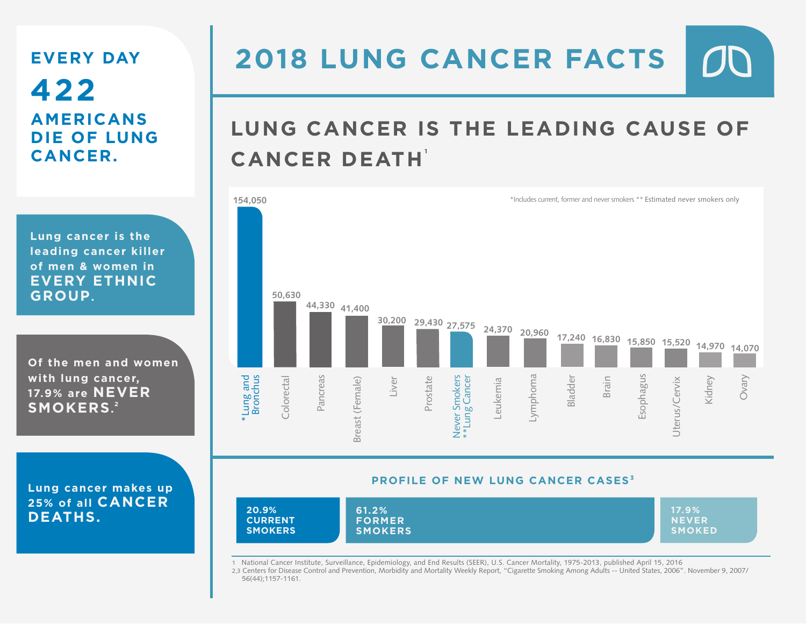### **EVERY DAY 422 AMERICANS DIE OF LUNG CANCER.**

**Lung cancer is the leading cancer killer of men & women in EVERY ETHNIC GROUP.**

**Of the men and women with lung cancer, 17.9% are NEVER SMOKERS. 2**

**Lung cancer makes up 25% of all CANCER DEATHS.**

### $D\Box$ **2018 LUNG CANCER FACTS**

# **LUNG CANCER IS THE LEADING CAUSE OF CANCER DEATH 1**



#### **PROFILE OF NEW LUNG CANCER CASES 3**



1 National Cancer Institute, Surveillance, Epidemiology, and End Results (SEER), U.S. Cancer Mortality, 1975-2013, published April 15, 2016

2,3 Centers for Disease Control and Prevention, Morbidity and Mortality Weekly Report, "Cigarette Smoking Among Adults -- United States, 2006". November 9, 2007/ 56(44);1157-1161.